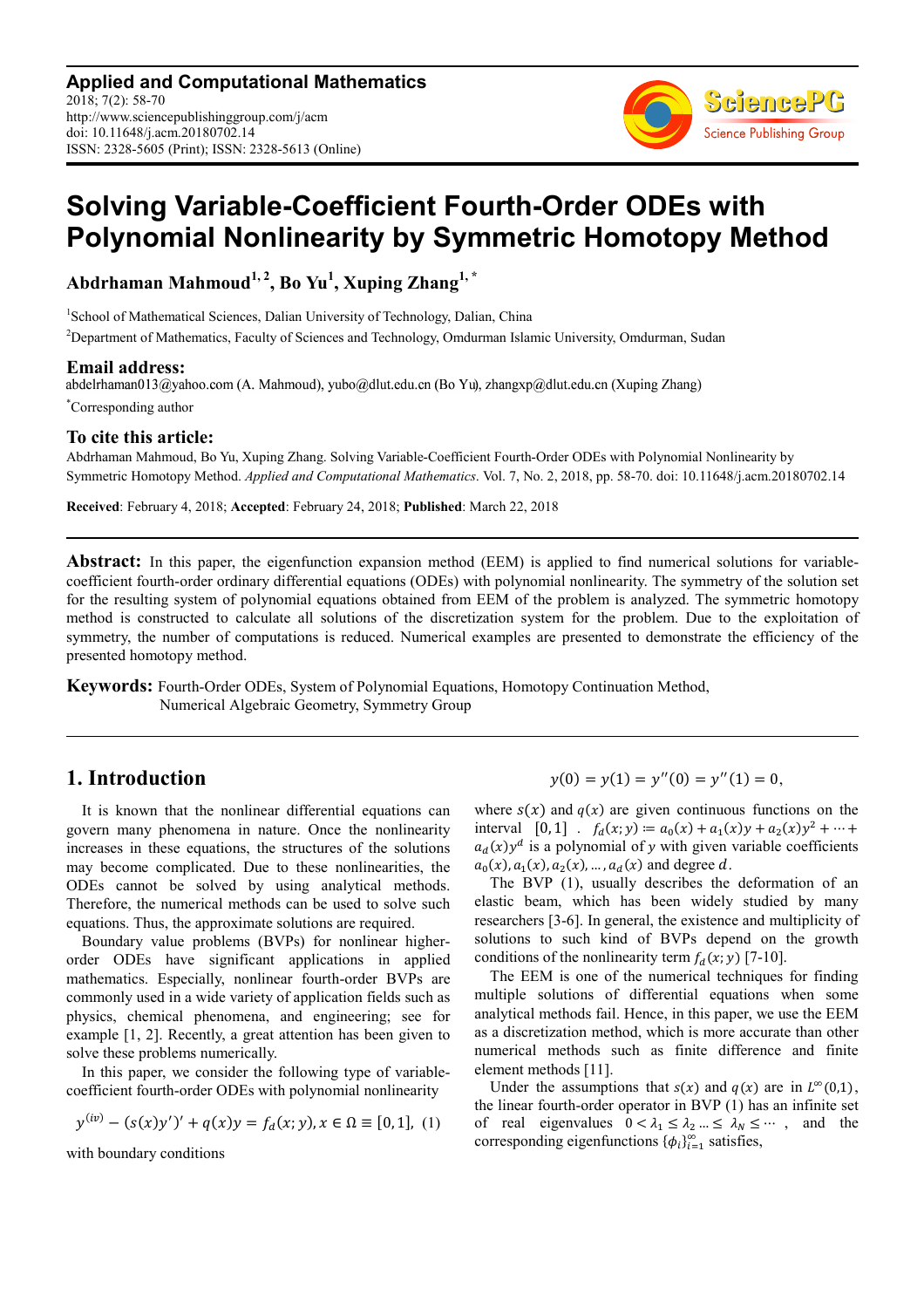

# **Solving Variable-Coefficient Fourth-Order ODEs with Polynomial Nonlinearity by Symmetric Homotopy Method**

**Abdrhaman Mahmoud1, 2, Bo Yu<sup>1</sup> , Xuping Zhang1, \*** 

<sup>1</sup>School of Mathematical Sciences, Dalian University of Technology, Dalian, China

<sup>2</sup>Department of Mathematics, Faculty of Sciences and Technology, Omdurman Islamic University, Omdurman, Sudan

**Email address: abdel address: abdel rhamous** (A. Mahmoud), yubo@dlut.edu.cn (Bo Yu), zhangxp@dlut.edu.cn (Xuping Zhang) \*Corresponding author

## **To cite this article:**

Abdrhaman Mahmoud, Bo Yu, Xuping Zhang. Solving Variable-Coefficient Fourth-Order ODEs with Polynomial Nonlinearity by Symmetric Homotopy Method. *Applied and Computational Mathematics*. Vol. 7, No. 2, 2018, pp. 58-70. doi: 10.11648/j.acm.20180702.14

**Received**: February 4, 2018; **Accepted**: February 24, 2018; **Published**: March 22, 2018

**Abstract:** In this paper, the eigenfunction expansion method (EEM) is applied to find numerical solutions for variablecoefficient fourth-order ordinary differential equations (ODEs) with polynomial nonlinearity. The symmetry of the solution set for the resulting system of polynomial equations obtained from EEM of the problem is analyzed. The symmetric homotopy method is constructed to calculate all solutions of the discretization system for the problem. Due to the exploitation of symmetry, the number of computations is reduced. Numerical examples are presented to demonstrate the efficiency of the presented homotopy method.

**Keywords:** Fourth-Order ODEs, System of Polynomial Equations, Homotopy Continuation Method, Numerical Algebraic Geometry, Symmetry Group

## **1. Introduction**

It is known that the nonlinear differential equations can govern many phenomena in nature. Once the nonlinearity increases in these equations, the structures of the solutions may become complicated. Due to these nonlinearities, the ODEs cannot be solved by using analytical methods. Therefore, the numerical methods can be used to solve such equations. Thus, the approximate solutions are required.

Boundary value problems (BVPs) for nonlinear higherorder ODEs have significant applications in applied mathematics. Especially, nonlinear fourth-order BVPs are commonly used in a wide variety of application fields such as physics, chemical phenomena, and engineering; see for example [1, 2]. Recently, a great attention has been given to solve these problems numerically.

In this paper, we consider the following type of variablecoefficient fourth-order ODEs with polynomial nonlinearity

$$
y^{(iv)} - (s(x)y')' + q(x)y = f_d(x; y), x \in \Omega \equiv [0, 1], (1)
$$

with boundary conditions

 $y(0) = y(1) = y''(0) = y''(1) = 0,$ 

where  $s(x)$  and  $q(x)$  are given continuous functions on the interval  $[0, 1]$  .  $f_d(x; y) = a_0(x) + a_1(x)y + a_2(x)y^2 + \dots +$  $a_d(x)y^d$  is a polynomial of y with given variable coefficients  $a_0(x)$ ,  $a_1(x)$ ,  $a_2(x)$ , ...,  $a_d(x)$  and degree d.

The BVP (1), usually describes the deformation of an elastic beam, which has been widely studied by many researchers [3-6]. In general, the existence and multiplicity of solutions to such kind of BVPs depend on the growth conditions of the nonlinearity term  $f_d(x; y)$  [7-10].

The EEM is one of the numerical techniques for finding multiple solutions of differential equations when some analytical methods fail. Hence, in this paper, we use the EEM as a discretization method, which is more accurate than other numerical methods such as finite difference and finite element methods [11].

Under the assumptions that  $s(x)$  and  $q(x)$  are in  $L^{\infty}(0,1)$ , the linear fourth-order operator in BVP (1) has an infinite set of real eigenvalues  $0 < \lambda_1 \leq \lambda_2 ... \leq \lambda_N \leq ...$ , and the corresponding eigenfunctions  $\{\phi_i\}_{i=1}^{\infty}$  satisfies,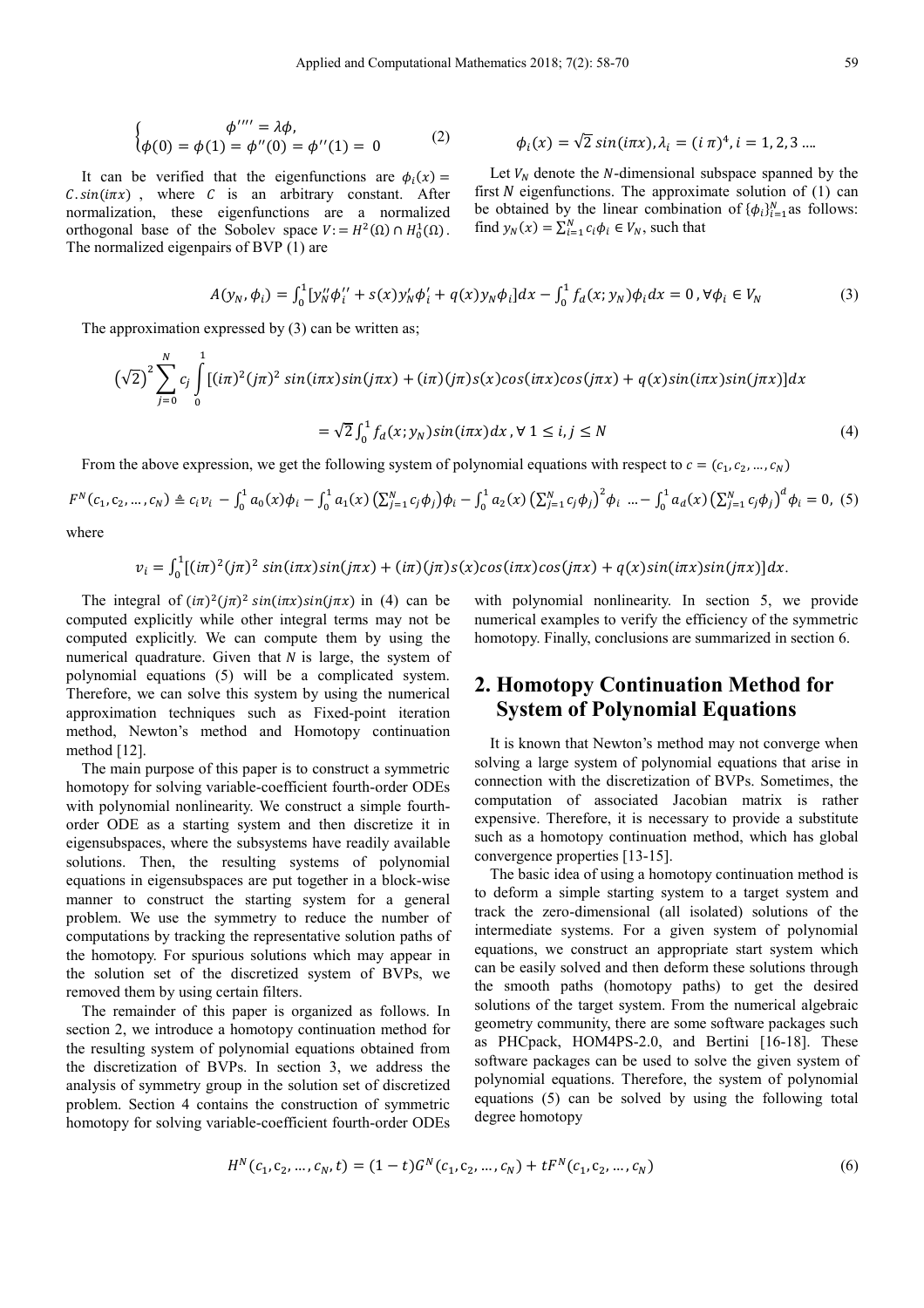$$
\begin{cases}\n\phi''' = \lambda \phi, \\
\phi(0) = \phi(1) = \phi''(0) = \phi''(1) = 0\n\end{cases}
$$
\n(2)

It can be verified that the eigenfunctions are  $\phi_i(x) =$  $C \cdot \sin(i\pi x)$ , where C is an arbitrary constant. After normalization, these eigenfunctions are a normalized orthogonal base of the Sobolev space  $V = H^2(\Omega) \cap H_0^1(\Omega)$ . The normalized eigenpairs of BVP (1) are

$$
\phi_i(x) = \sqrt{2} \sin(i\pi x), \lambda_i = (i\pi)^4, i = 1, 2, 3 \dots
$$

Let  $V_N$  denote the N-dimensional subspace spanned by the first  $N$  eigenfunctions. The approximate solution of  $(1)$  can be obtained by the linear combination of  ${\lbrace \phi_i \rbrace}_{i=1}^N$  as follows: find  $y_N(x) = \sum_{i=1}^N c_i \phi_i \in V_N$ , such that

$$
A(y_N, \phi_i) = \int_0^1 [y_N'' \phi_i'' + s(x) y_N' \phi_i' + q(x) y_N \phi_i] dx - \int_0^1 f_d(x; y_N) \phi_i dx = 0, \forall \phi_i \in V_N
$$
 (3)

The approximation expressed by (3) can be written as;

$$
(\sqrt{2})^2 \sum_{j=0}^N c_j \int_0^1 [(i\pi)^2 (j\pi)^2 \sin(i\pi x) \sin(j\pi x) + (i\pi)(j\pi) s(x) \cos(i\pi x) \cos(j\pi x) + q(x) \sin(i\pi x) \sin(j\pi x)] dx
$$

$$
= \sqrt{2} \int_0^1 f_d(x; y_N) \sin(i\pi x) dx, \forall 1 \le i, j \le N
$$
\n<sup>(4)</sup>

From the above expression, we get the following system of polynomial equations with respect to  $c = (c_1, c_2, ..., c_N)$ 

$$
F^{N}(c_{1}, c_{2}, ..., c_{N}) \triangleq c_{i}v_{i} - \int_{0}^{1} a_{0}(x)\phi_{i} - \int_{0}^{1} a_{1}(x)\left(\sum_{j=1}^{N} c_{j}\phi_{j}\right)\phi_{i} - \int_{0}^{1} a_{2}(x)\left(\sum_{j=1}^{N} c_{j}\phi_{j}\right)^{2}\phi_{i} ... - \int_{0}^{1} a_{d}(x)\left(\sum_{j=1}^{N} c_{j}\phi_{j}\right)^{d}\phi_{i} = 0, (5)
$$

where

$$
v_i = \int_0^1 \left[ (i\pi)^2 (j\pi)^2 \sin(i\pi x) \sin(j\pi x) + (i\pi)(j\pi) s(x) \cos(i\pi x) \cos(j\pi x) + q(x) \sin(i\pi x) \sin(j\pi x) \right] dx.
$$

The integral of  $(i\pi)^2 (j\pi)^2 \sin(i\pi x) \sin(j\pi x)$  in (4) can be computed explicitly while other integral terms may not be computed explicitly. We can compute them by using the numerical quadrature. Given that  $N$  is large, the system of polynomial equations (5) will be a complicated system. Therefore, we can solve this system by using the numerical approximation techniques such as Fixed-point iteration method, Newton's method and Homotopy continuation method [12].

The main purpose of this paper is to construct a symmetric homotopy for solving variable-coefficient fourth-order ODEs with polynomial nonlinearity. We construct a simple fourthorder ODE as a starting system and then discretize it in eigensubspaces, where the subsystems have readily available solutions. Then, the resulting systems of polynomial equations in eigensubspaces are put together in a block-wise manner to construct the starting system for a general problem. We use the symmetry to reduce the number of computations by tracking the representative solution paths of the homotopy. For spurious solutions which may appear in the solution set of the discretized system of BVPs, we removed them by using certain filters.

The remainder of this paper is organized as follows. In section 2, we introduce a homotopy continuation method for the resulting system of polynomial equations obtained from the discretization of BVPs. In section 3, we address the analysis of symmetry group in the solution set of discretized problem. Section 4 contains the construction of symmetric homotopy for solving variable-coefficient fourth-order ODEs with polynomial nonlinearity. In section 5, we provide numerical examples to verify the efficiency of the symmetric homotopy. Finally, conclusions are summarized in section 6.

## **2. Homotopy Continuation Method for System of Polynomial Equations**

It is known that Newton's method may not converge when solving a large system of polynomial equations that arise in connection with the discretization of BVPs. Sometimes, the computation of associated Jacobian matrix is rather expensive. Therefore, it is necessary to provide a substitute such as a homotopy continuation method, which has global convergence properties [13-15].

The basic idea of using a homotopy continuation method is to deform a simple starting system to a target system and track the zero-dimensional (all isolated) solutions of the intermediate systems. For a given system of polynomial equations, we construct an appropriate start system which can be easily solved and then deform these solutions through the smooth paths (homotopy paths) to get the desired solutions of the target system. From the numerical algebraic geometry community, there are some software packages such as PHCpack, HOM4PS-2.0, and Bertini [16-18]. These software packages can be used to solve the given system of polynomial equations. Therefore, the system of polynomial equations (5) can be solved by using the following total degree homotopy

$$
H^{N}(c_{1}, c_{2}, ..., c_{N}, t) = (1 - t)G^{N}(c_{1}, c_{2}, ..., c_{N}) + tF^{N}(c_{1}, c_{2}, ..., c_{N})
$$
\n(6)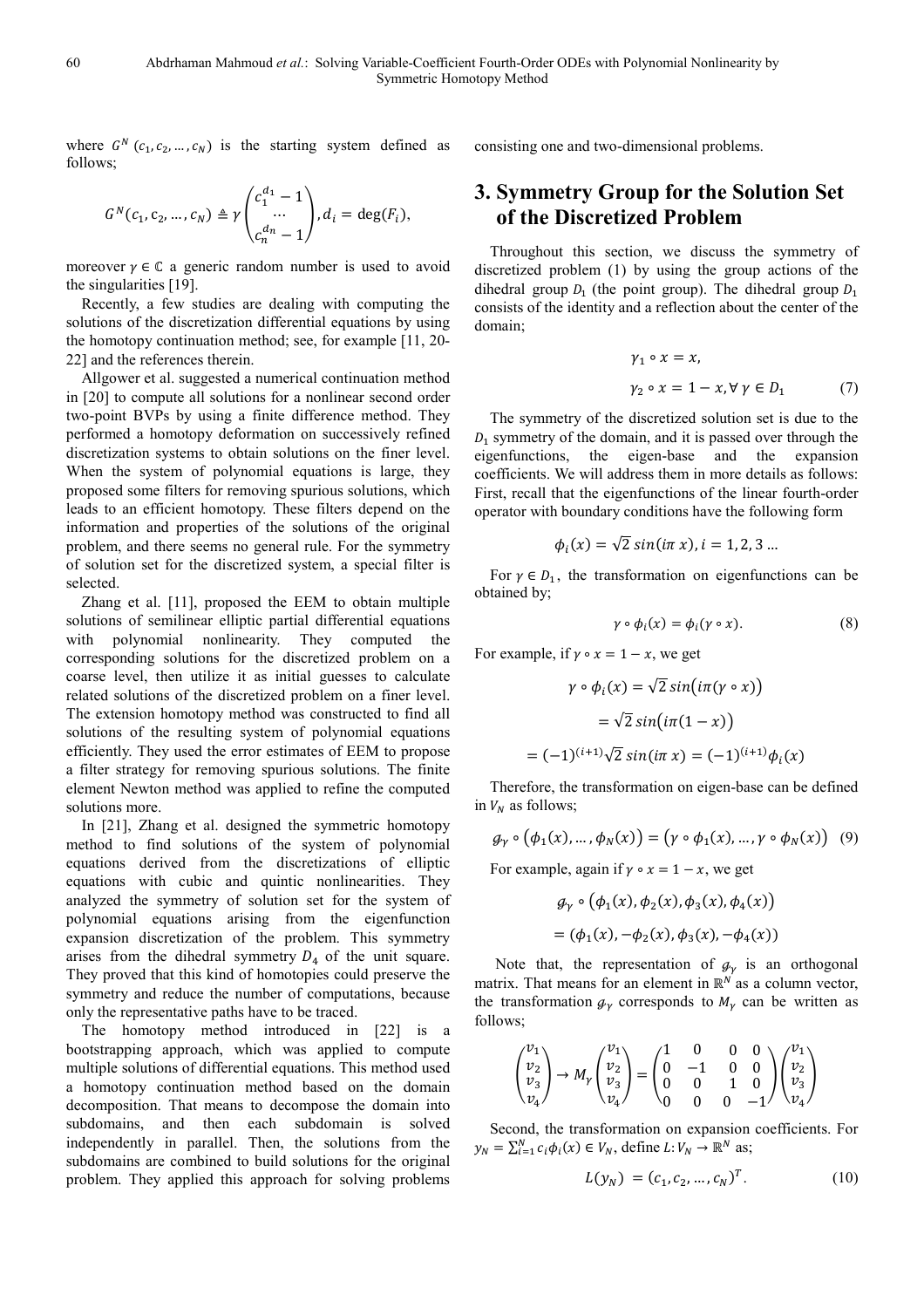where  $G^N$  ( $c_1, c_2, ..., c_N$ ) is the starting system defined as follows;

$$
G^{N}(c_{1}, c_{2}, ..., c_{N}) \triangleq \gamma \binom{c_{1}^{d_{1}} - 1}{c_{n}^{d_{n}} - 1}, d_{i} = \deg(F_{i}),
$$

moreover  $\gamma \in \mathbb{C}$  a generic random number is used to avoid the singularities [19].

Recently, a few studies are dealing with computing the solutions of the discretization differential equations by using the homotopy continuation method; see, for example [11, 20- 22] and the references therein.

Allgower et al. suggested a numerical continuation method in [20] to compute all solutions for a nonlinear second order two-point BVPs by using a finite difference method. They performed a homotopy deformation on successively refined discretization systems to obtain solutions on the finer level. When the system of polynomial equations is large, they proposed some filters for removing spurious solutions, which leads to an efficient homotopy. These filters depend on the information and properties of the solutions of the original problem, and there seems no general rule. For the symmetry of solution set for the discretized system, a special filter is selected.

Zhang et al. [11], proposed the EEM to obtain multiple solutions of semilinear elliptic partial differential equations with polynomial nonlinearity. They computed the corresponding solutions for the discretized problem on a coarse level, then utilize it as initial guesses to calculate related solutions of the discretized problem on a finer level. The extension homotopy method was constructed to find all solutions of the resulting system of polynomial equations efficiently. They used the error estimates of EEM to propose a filter strategy for removing spurious solutions. The finite element Newton method was applied to refine the computed solutions more.

In [21], Zhang et al. designed the symmetric homotopy method to find solutions of the system of polynomial equations derived from the discretizations of elliptic equations with cubic and quintic nonlinearities. They analyzed the symmetry of solution set for the system of polynomial equations arising from the eigenfunction expansion discretization of the problem. This symmetry arises from the dihedral symmetry  $D_4$  of the unit square. They proved that this kind of homotopies could preserve the symmetry and reduce the number of computations, because only the representative paths have to be traced.

The homotopy method introduced in [22] is a bootstrapping approach, which was applied to compute multiple solutions of differential equations. This method used a homotopy continuation method based on the domain decomposition. That means to decompose the domain into subdomains, and then each subdomain is solved independently in parallel. Then, the solutions from the subdomains are combined to build solutions for the original problem. They applied this approach for solving problems

consisting one and two-dimensional problems.

## **3. Symmetry Group for the Solution Set of the Discretized Problem**

Throughout this section, we discuss the symmetry of discretized problem (1) by using the group actions of the dihedral group  $D_1$  (the point group). The dihedral group  $D_1$ consists of the identity and a reflection about the center of the domain;

$$
\gamma_1 \circ x = x,
$$
  
\n
$$
\gamma_2 \circ x = 1 - x, \forall \gamma \in D_1 \tag{7}
$$

The symmetry of the discretized solution set is due to the  $D_1$  symmetry of the domain, and it is passed over through the eigenfunctions, the eigen-base and the expansion coefficients. We will address them in more details as follows: First, recall that the eigenfunctions of the linear fourth-order operator with boundary conditions have the following form

$$
\phi_i(x) = \sqrt{2} \sin(i\pi x), i = 1, 2, 3 ...
$$

For  $\gamma \in D_1$ , the transformation on eigenfunctions can be obtained by;

$$
\gamma \circ \phi_i(x) = \phi_i(\gamma \circ x). \tag{8}
$$

For example, if  $\gamma \circ x = 1 - x$ , we get

$$
\gamma \circ \phi_i(x) = \sqrt{2} \sin(i\pi(\gamma \circ x))
$$

$$
= \sqrt{2} \sin(i\pi(1 - x))
$$

$$
= (-1)^{(i+1)}\sqrt{2} \sin(i\pi x) = (-1)^{(i+1)}\phi_i(x)
$$

Therefore, the transformation on eigen-base can be defined in  $V_N$  as follows;

$$
\mathcal{G}_{\gamma} \circ (\phi_1(x), \dots, \phi_N(x)) = (\gamma \circ \phi_1(x), \dots, \gamma \circ \phi_N(x)) \quad (9)
$$

For example, again if  $\gamma \circ x = 1 - x$ , we get

$$
\varphi_{\gamma} \circ (\phi_1(x), \phi_2(x), \phi_3(x), \phi_4(x))
$$
  
= (\phi\_1(x), -\phi\_2(x), \phi\_3(x), -\phi\_4(x))

Note that, the representation of  $g<sub>\gamma</sub>$  is an orthogonal matrix. That means for an element in  $\mathbb{R}^N$  as a column vector, the transformation  $g_{\gamma}$  corresponds to  $M_{\gamma}$  can be written as follows;

$$
\begin{pmatrix} v_1 \\ v_2 \\ v_3 \\ v_4 \end{pmatrix} \rightarrow M_{\gamma} \begin{pmatrix} v_1 \\ v_2 \\ v_3 \\ v_4 \end{pmatrix} = \begin{pmatrix} 1 & 0 & 0 & 0 \\ 0 & -1 & 0 & 0 \\ 0 & 0 & 1 & 0 \\ 0 & 0 & 0 & -1 \end{pmatrix} \begin{pmatrix} v_1 \\ v_2 \\ v_3 \\ v_4 \end{pmatrix}
$$

Second, the transformation on expansion coefficients. For  $y_N = \sum_{i=1}^N c_i \phi_i(x) \in V_N$ , define  $L: V_N \to \mathbb{R}^N$  as;

$$
L(y_N) = (c_1, c_2, ..., c_N)^T.
$$
 (10)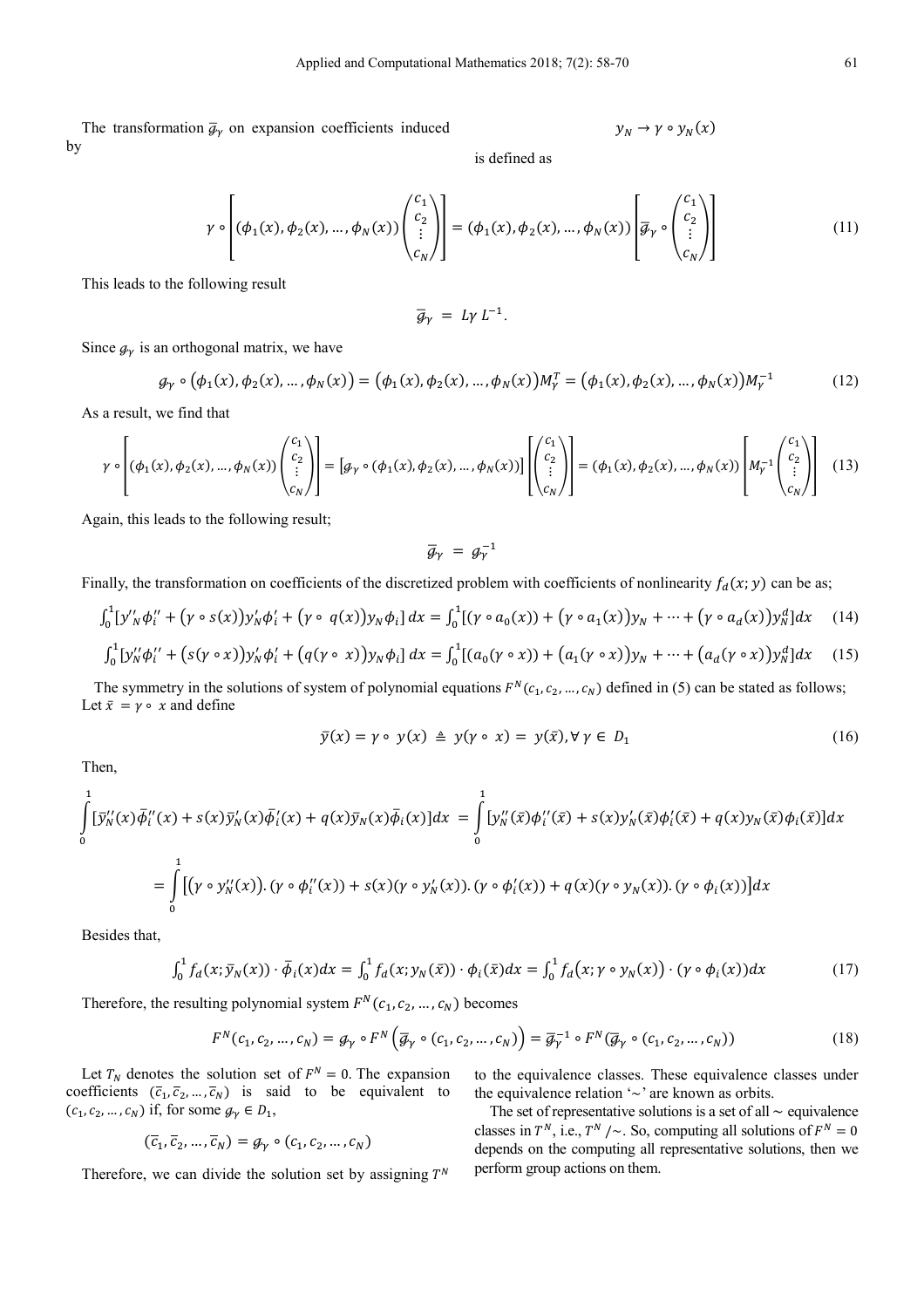The transformation  $\overline{\mathfrak{g}}_{\gamma}$  on expansion coefficients induced by

$$
y_N\to \gamma\circ y_N(x)
$$

is defined as

$$
\gamma \circ \left[ (\phi_1(x), \phi_2(x), \dots, \phi_N(x)) \begin{pmatrix} c_1 \\ c_2 \\ \vdots \\ c_N \end{pmatrix} \right] = (\phi_1(x), \phi_2(x), \dots, \phi_N(x)) \begin{bmatrix} c_1 \\ \overline{g}_Y \circ \begin{pmatrix} c_1 \\ c_2 \\ \vdots \\ c_N \end{pmatrix} \end{bmatrix}
$$
(11)

This leads to the following result

$$
\overline{g}_{\gamma} = L\gamma L^{-1}.
$$

Since  $g_{\gamma}$  is an orthogonal matrix, we have

$$
\mathcal{G}_{\gamma} \circ (\phi_1(x), \phi_2(x), \dots, \phi_N(x)) = (\phi_1(x), \phi_2(x), \dots, \phi_N(x))M_{\gamma}^T = (\phi_1(x), \phi_2(x), \dots, \phi_N(x))M_{\gamma}^{-1}
$$
(12)

As a result, we find that

$$
\gamma \circ \left[ (\phi_1(x), \phi_2(x), \dots, \phi_N(x)) \begin{pmatrix} c_1 \\ c_2 \\ \vdots \\ c_N \end{pmatrix} \right] = \left[ g_\gamma \circ (\phi_1(x), \phi_2(x), \dots, \phi_N(x)) \right] \begin{pmatrix} c_1 \\ c_2 \\ \vdots \\ c_N \end{pmatrix} = (\phi_1(x), \phi_2(x), \dots, \phi_N(x)) \begin{pmatrix} \mu_1^{-1} \begin{pmatrix} c_1 \\ c_2 \\ \vdots \\ c_N \end{pmatrix} \right]
$$
(13)

Again, this leads to the following result;

$$
\overline{g}_{\gamma} \, = \, g_{\gamma}^{-1}
$$

Finally, the transformation on coefficients of the discretized problem with coefficients of nonlinearity  $f_d(x; y)$  can be as;

$$
\int_0^1 [y'_{N} \phi_i'' + (\gamma \circ s(x)) y_{N}' \phi_i' + (\gamma \circ q(x)) y_{N} \phi_i] dx = \int_0^1 [(\gamma \circ a_0(x)) + (\gamma \circ a_1(x)) y_{N} + \dots + (\gamma \circ a_d(x)) y_{N}^d] dx \tag{14}
$$

$$
\int_0^1 [y''_N \phi''_i + (s(\gamma \circ x)) y'_N \phi'_i + (q(\gamma \circ x)) y_N \phi_i] dx = \int_0^1 [(a_0(\gamma \circ x)) + (a_1(\gamma \circ x)) y_N + \dots + (a_d(\gamma \circ x)) y_N^d] dx \tag{15}
$$

The symmetry in the solutions of system of polynomial equations  $F^N(c_1, c_2, ..., c_N)$  defined in (5) can be stated as follows; Let  $\bar{x} = y \circ x$  and define

$$
\bar{y}(x) = \gamma \circ y(x) \triangleq y(\gamma \circ x) = y(\bar{x}), \forall \gamma \in D_1
$$
\n(16)

Then,

$$
\int_{0}^{1} [\bar{y}_{N}''(x)\bar{\phi}_{i}''(x) + s(x)\bar{y}_{N}'(x)\bar{\phi}_{i}'(x) + q(x)\bar{y}_{N}(x)\bar{\phi}_{i}(x)]dx = \int_{0}^{1} [y_{N}''(\bar{x})\phi_{i}''(\bar{x}) + s(x)y_{N}'(\bar{x})\phi_{i}'(\bar{x}) + q(x)y_{N}(\bar{x})\phi_{i}(\bar{x})]dx
$$
\n
$$
= \int_{0}^{1} [(y \circ y_{N}''(x)) \cdot (y \circ \phi_{i}''(x)) + s(x)(y \circ y_{N}'(x)) \cdot (y \circ \phi_{i}'(x)) + q(x)(y \circ y_{N}(x)) \cdot (y \circ \phi_{i}(x))]dx
$$

Besides that,

$$
\int_0^1 f_d(x; \bar{y}_N(x)) \cdot \bar{\phi}_i(x) dx = \int_0^1 f_d(x; y_N(\bar{x})) \cdot \phi_i(\bar{x}) dx = \int_0^1 f_d(x; \gamma \circ y_N(x)) \cdot (\gamma \circ \phi_i(x)) dx \tag{17}
$$

Therefore, the resulting polynomial system  $F^N(c_1, c_2, ..., c_N)$  becomes

$$
F^N(c_1, c_2, \dots, c_N) = \mathcal{G}_{\gamma} \circ F^N\left(\overline{\mathcal{G}}_{\gamma} \circ (c_1, c_2, \dots, c_N)\right) = \overline{\mathcal{G}}_{\gamma}^{-1} \circ F^N(\overline{\mathcal{G}}_{\gamma} \circ (c_1, c_2, \dots, c_N))
$$
(18)

Let  $T_N$  denotes the solution set of  $F^N = 0$ . The expansion coefficients  $(\overline{c}_1, \overline{c}_2, ..., \overline{c}_N)$  is said to be equivalent to  $(c_1, c_2, ..., c_N)$  if, for some  $\mathcal{J}_{\gamma} \in D_1$ ,

$$
(\overline{c}_1, \overline{c}_2, \ldots, \overline{c}_N) = g_\gamma \circ (c_1, c_2, \ldots, c_N)
$$

Therefore, we can divide the solution set by assigning  $T<sup>N</sup>$ 

to the equivalence classes. These equivalence classes under the equivalence relation '∼' are known as orbits.

The set of representative solutions is a set of all ∼ equivalence classes in  $T^N$ , i.e.,  $T^N$  /~. So, computing all solutions of  $F^N = 0$ depends on the computing all representative solutions, then we perform group actions on them.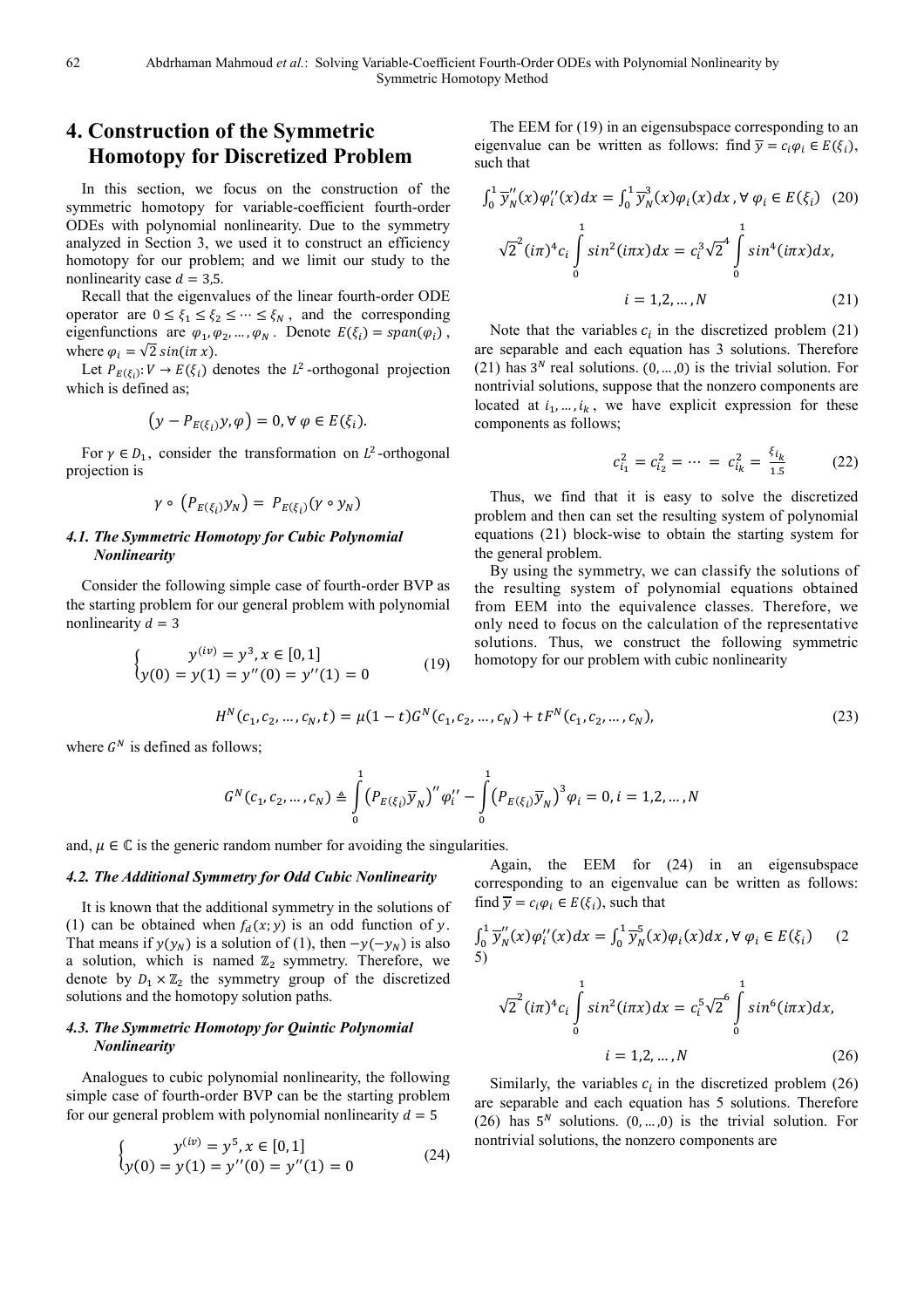## **4. Construction of the Symmetric Homotopy for Discretized Problem**

In this section, we focus on the construction of the symmetric homotopy for variable-coefficient fourth-order ODEs with polynomial nonlinearity. Due to the symmetry analyzed in Section 3, we used it to construct an efficiency homotopy for our problem; and we limit our study to the nonlinearity case  $d = 3.5$ .

Recall that the eigenvalues of the linear fourth-order ODE operator are  $0 \le \xi_1 \le \xi_2 \le \cdots \le \xi_N$ , and the corresponding eigenfunctions are  $\varphi_1, \varphi_2, ..., \varphi_N$ . Denote  $E(\xi_i) = span(\varphi_i)$ , where  $\varphi_i = \sqrt{2} \sin(i\pi x)$ .

Let  $P_{E(\xi_i)}: V \to E(\xi_i)$  denotes the  $L^2$ -orthogonal projection which is defined as:

$$
(y - P_{E(\xi_i)}y, \varphi) = 0, \forall \varphi \in E(\xi_i).
$$

For  $\gamma \in D_1$ , consider the transformation on  $L^2$ -orthogonal projection is

$$
\gamma \circ (P_{E(\xi_i)} y_N) = P_{E(\xi_i)} (\gamma \circ y_N)
$$

### *4.1. The Symmetric Homotopy for Cubic Polynomial Nonlinearity*

Consider the following simple case of fourth-order BVP as the starting problem for our general problem with polynomial nonlinearity  $d = 3$ 

$$
\begin{cases}\ny^{(iv)} = y^3, x \in [0, 1] \\
y(0) = y(1) = y''(0) = y''(1) = 0\n\end{cases}
$$
\n(19)

The EEM for (19) in an eigensubspace corresponding to an eigenvalue can be written as follows: find  $\overline{y} = c_i \varphi_i \in E(\xi_i)$ , such that

$$
\int_0^1 \overline{y}_N''(x)\varphi_i''(x)dx = \int_0^1 \overline{y}_N^3(x)\varphi_i(x)dx, \forall \varphi_i \in E(\xi_i)
$$
 (20)  

$$
\sqrt{2}^2(i\pi)^4 c_i \int_0^1 \sin^2(i\pi x)dx = c_i^3 \sqrt{2}^4 \int_0^1 \sin^4(i\pi x)dx,
$$
  
 $i = 1, 2, ..., N$  (21)

Note that the variables  $c_i$  in the discretized problem (21) are separable and each equation has 3 solutions. Therefore  $(21)$  has  $3<sup>N</sup>$  real solutions.  $(0, ..., 0)$  is the trivial solution. For nontrivial solutions, suppose that the nonzero components are located at  $i_1, ..., i_k$ , we have explicit expression for these components as follows;

$$
c_{i_1}^2 = c_{i_2}^2 = \dots = c_{i_k}^2 = \frac{\xi_{i_k}}{1.5} \tag{22}
$$

Thus, we find that it is easy to solve the discretized problem and then can set the resulting system of polynomial equations (21) block-wise to obtain the starting system for the general problem.

By using the symmetry, we can classify the solutions of the resulting system of polynomial equations obtained from EEM into the equivalence classes. Therefore, we only need to focus on the calculation of the representative solutions. Thus, we construct the following symmetric homotopy for our problem with cubic nonlinearity

$$
H^{N}(c_{1}, c_{2}, ..., c_{N}, t) = \mu(1 - t)G^{N}(c_{1}, c_{2}, ..., c_{N}) + tF^{N}(c_{1}, c_{2}, ..., c_{N}),
$$
\n(23)

where  $G<sup>N</sup>$  is defined as follows;

$$
G^{N}(c_{1}, c_{2}, ..., c_{N}) \triangleq \int_{0}^{1} (P_{E(\xi_{i})} \overline{y}_{N})'' \varphi''_{i} - \int_{0}^{1} (P_{E(\xi_{i})} \overline{y}_{N})^{3} \varphi_{i} = 0, i = 1, 2, ..., N
$$

and,  $\mu \in \mathbb{C}$  is the generic random number for avoiding the singularities.

#### *4.2. The Additional Symmetry for Odd Cubic Nonlinearity*

It is known that the additional symmetry in the solutions of (1) can be obtained when  $f_d(x; y)$  is an odd function of y. That means if  $y(y_N)$  is a solution of (1), then  $-y(-y_N)$  is also a solution, which is named  $\mathbb{Z}_2$  symmetry. Therefore, we denote by  $D_1 \times \mathbb{Z}_2$  the symmetry group of the discretized solutions and the homotopy solution paths.

#### *4.3. The Symmetric Homotopy for Quintic Polynomial Nonlinearity*

Analogues to cubic polynomial nonlinearity, the following simple case of fourth-order BVP can be the starting problem for our general problem with polynomial nonlinearity  $d = 5$ 

$$
\begin{cases}\ny^{(iv)} = y^5, x \in [0, 1] \\
y(0) = y(1) = y''(0) = y''(1) = 0\n\end{cases}
$$
\n(24)

Again, the EEM for (24) in an eigensubspace corresponding to an eigenvalue can be written as follows: find  $\overline{y} = c_i \varphi_i \in E(\xi_i)$ , such that

$$
\int_0^1 \overline{y}_N''(x)\varphi_i''(x)dx = \int_0^1 \overline{y}_N^5(x)\varphi_i(x)dx, \forall \varphi_i \in E(\xi_i)
$$
 (2  
5)  

$$
\sqrt{2}^2(i\pi)^4 c_i \int_0^1 \sin^2(i\pi x)dx = c_i^5 \sqrt{2}^6 \int_0^1 \sin^6(i\pi x)dx,
$$

$$
i = 1, 2, \dots, N \tag{26}
$$

Similarly, the variables  $c_i$  in the discretized problem (26) are separable and each equation has 5 solutions. Therefore  $(26)$  has  $5^N$  solutions.  $(0, ..., 0)$  is the trivial solution. For nontrivial solutions, the nonzero components are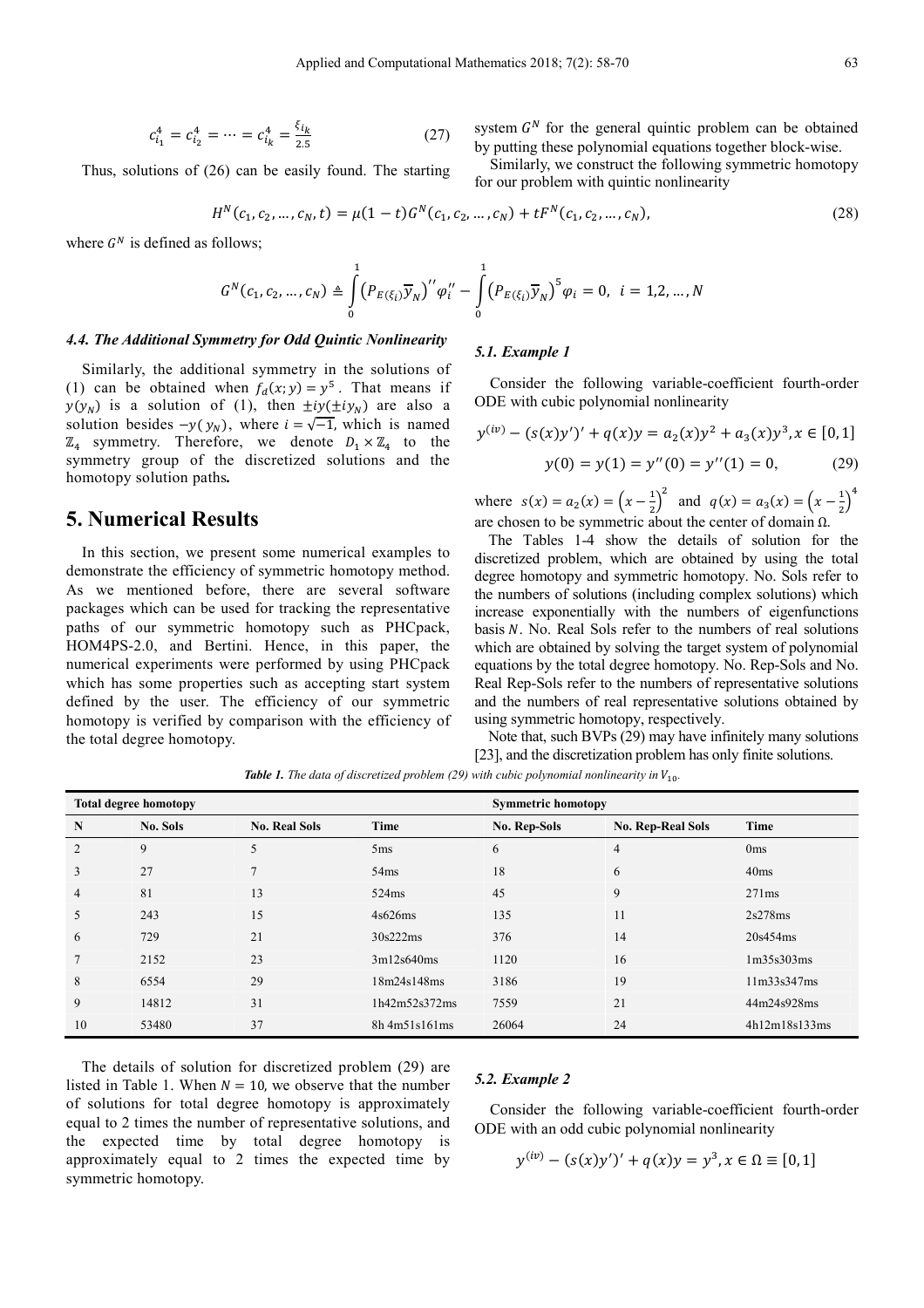$$
c_{i_1}^4 = c_{i_2}^4 = \dots = c_{i_k}^4 = \frac{\xi_{i_k}}{2.5}
$$
 (27)

Thus, solutions of (26) can be easily found. The starting

system  $G<sup>N</sup>$  for the general quintic problem can be obtained by putting these polynomial equations together block-wise.

Similarly, we construct the following symmetric homotopy for our problem with quintic nonlinearity

$$
H^{N}(c_{1}, c_{2}, ..., c_{N}, t) = \mu(1 - t)G^{N}(c_{1}, c_{2}, ..., c_{N}) + tF^{N}(c_{1}, c_{2}, ..., c_{N}),
$$
\n(28)

where  $G<sup>N</sup>$  is defined as follows;

$$
G^{N}(c_{1}, c_{2}, ..., c_{N}) \triangleq \int_{0}^{1} (P_{E(\xi_{i})} \overline{y}_{N})'' \varphi''_{i} - \int_{0}^{1} (P_{E(\xi_{i})} \overline{y}_{N})^{5} \varphi_{i} = 0, \ i = 1, 2, ..., N
$$

#### *4.4. The Additional Symmetry for Odd Quintic Nonlinearity*

Similarly, the additional symmetry in the solutions of (1) can be obtained when  $f_d(x; y) = y^5$ . That means if  $y(y_N)$  is a solution of (1), then  $\pm iy(\pm iy_N)$  are also a solution besides  $-y(y_N)$ , where  $i = \sqrt{-1}$ , which is named  $\mathbb{Z}_4$  symmetry. Therefore, we denote  $D_1 \times \mathbb{Z}_4$  to the symmetry group of the discretized solutions and the homotopy solution paths*.* 

## **5. Numerical Results**

In this section, we present some numerical examples to demonstrate the efficiency of symmetric homotopy method. As we mentioned before, there are several software packages which can be used for tracking the representative paths of our symmetric homotopy such as PHCpack, HOM4PS-2.0, and Bertini. Hence, in this paper, the numerical experiments were performed by using PHCpack which has some properties such as accepting start system defined by the user. The efficiency of our symmetric homotopy is verified by comparison with the efficiency of the total degree homotopy.

#### *5.1. Example 1*

Consider the following variable-coefficient fourth-order ODE with cubic polynomial nonlinearity

$$
y^{(iv)} - (s(x)y')' + q(x)y = a_2(x)y^2 + a_3(x)y^3, x \in [0, 1]
$$

$$
y(0) = y(1) = y''(0) = y''(1) = 0,
$$
 (29)

where  $s(x) = a_2(x) = (x - \frac{1}{2})^2$  and  $q(x) = a_3(x) = (x - \frac{1}{2})^4$ are chosen to be symmetric about the center of domain Ω.

The Tables 1-4 show the details of solution for the discretized problem, which are obtained by using the total degree homotopy and symmetric homotopy. No. Sols refer to the numbers of solutions (including complex solutions) which increase exponentially with the numbers of eigenfunctions basis  $N$ . No. Real Sols refer to the numbers of real solutions which are obtained by solving the target system of polynomial equations by the total degree homotopy. No. Rep-Sols and No. Real Rep-Sols refer to the numbers of representative solutions and the numbers of real representative solutions obtained by using symmetric homotopy, respectively.

Note that, such BVPs (29) may have infinitely many solutions [23], and the discretization problem has only finite solutions.

| <b>Total degree homotopy</b> |                 |                      |               | <b>Symmetric homotopy</b> |                          |                 |  |
|------------------------------|-----------------|----------------------|---------------|---------------------------|--------------------------|-----------------|--|
| N                            | <b>No. Sols</b> | <b>No. Real Sols</b> | Time          | <b>No. Rep-Sols</b>       | <b>No. Rep-Real Sols</b> | Time            |  |
| 2                            | 9               | 5                    | 5ms           | 6                         | 4                        | 0 <sub>ms</sub> |  |
| 3                            | 27              | π                    | 54ms          | 18                        | 6                        | 40ms            |  |
| $\overline{4}$               | 81              | 13                   | 524ms         | 45                        | 9                        | 271ms           |  |
| 5                            | 243             | 15                   | 4s626ms       | 135                       | 11                       | 2s278ms         |  |
| 6                            | 729             | 21                   | 30s222ms      | 376                       | 14                       | 20s454ms        |  |
| 7                            | 2152            | 23                   | 3m12s640ms    | 1120                      | 16                       | 1m35s303ms      |  |
| 8                            | 6554            | 29                   | 18m24s148ms   | 3186                      | 19                       | 11m33s347ms     |  |
| 9                            | 14812           | 31                   | 1h42m52s372ms | 7559                      | 21                       | 44m24s928ms     |  |
| 10                           | 53480           | 37                   | 8h 4m51s161ms | 26064                     | 24                       | 4h12m18s133ms   |  |

*Table 1. The data of discretized problem (29) with cubic polynomial nonlinearity in* $V_{10}$ **.** 

The details of solution for discretized problem (29) are listed in Table 1. When  $N = 10$ , we observe that the number of solutions for total degree homotopy is approximately equal to 2 times the number of representative solutions, and the expected time by total degree homotopy is approximately equal to 2 times the expected time by symmetric homotopy.

#### *5.2. Example 2*

Consider the following variable-coefficient fourth-order ODE with an odd cubic polynomial nonlinearity

$$
y^{(iv)} - (s(x)y')' + q(x)y = y^3, x \in \Omega \equiv [0, 1]
$$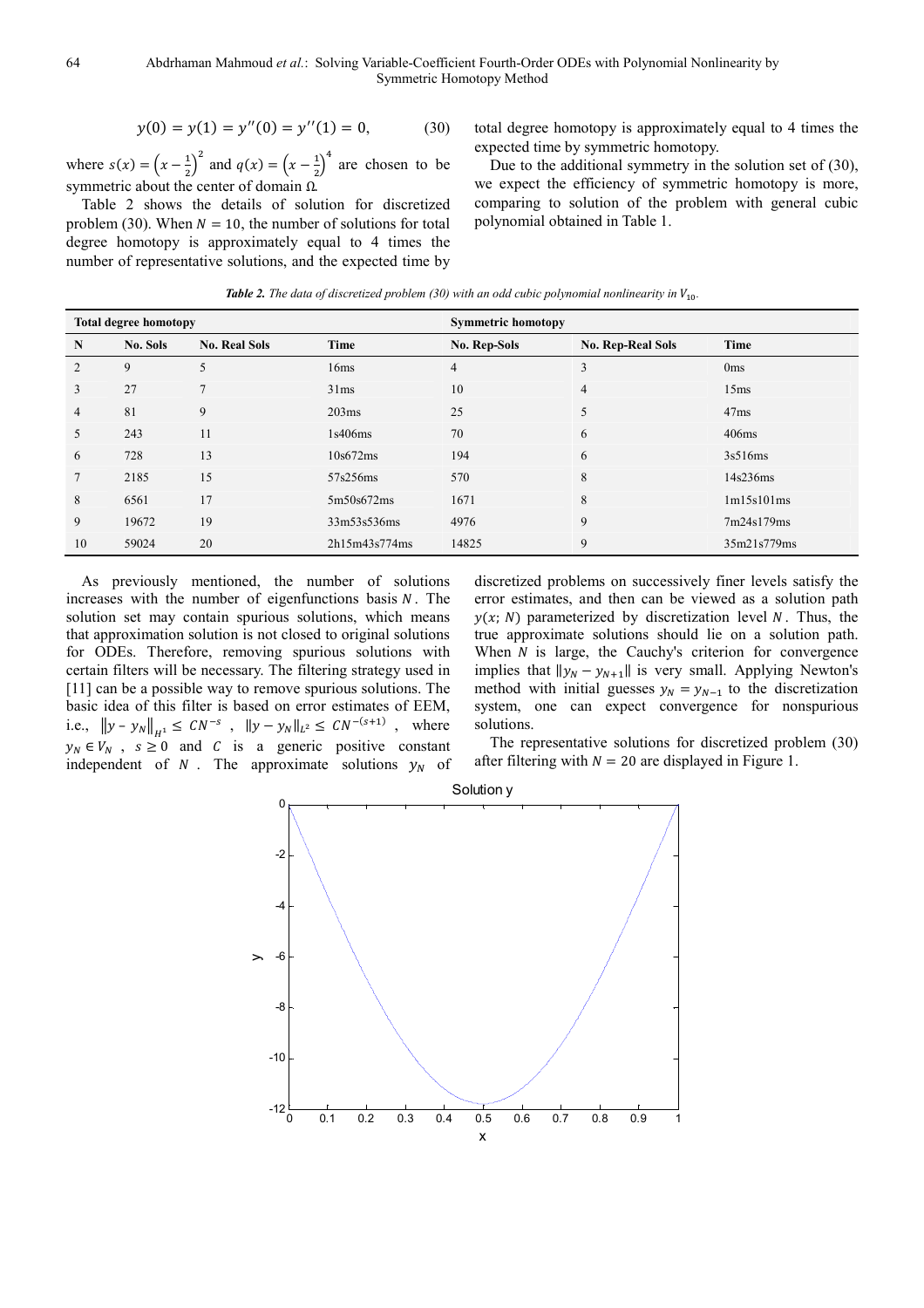$$
y(0) = y(1) = y''(0) = y''(1) = 0,
$$
 (30)

where  $s(x) = \left(x - \frac{1}{2}\right)^2$  and  $q(x) = \left(x - \frac{1}{2}\right)^4$  are chosen to be symmetric about the center of domain Ω.

Table 2 shows the details of solution for discretized problem (30). When  $N = 10$ , the number of solutions for total degree homotopy is approximately equal to 4 times the number of representative solutions, and the expected time by total degree homotopy is approximately equal to 4 times the expected time by symmetric homotopy.

Due to the additional symmetry in the solution set of (30), we expect the efficiency of symmetric homotopy is more, comparing to solution of the problem with general cubic polynomial obtained in Table 1.

**Table 2.** The data of discretized problem (30) with an odd cubic polynomial nonlinearity in  $V_{10}$ .

| <b>Total degree homotopy</b> |                 |                      |               | <b>Symmetric homotopy</b> |                          |                 |  |
|------------------------------|-----------------|----------------------|---------------|---------------------------|--------------------------|-----------------|--|
| N                            | <b>No. Sols</b> | <b>No. Real Sols</b> | Time          | No. Rep-Sols              | <b>No. Rep-Real Sols</b> | Time            |  |
| 2                            | 9               | 5                    | 16ms          | $\overline{4}$            | 3                        | 0 <sub>ms</sub> |  |
| 3                            | 27              | $\overline{7}$       | 31ms          | 10                        | $\overline{4}$           | 15ms            |  |
| 4                            | 81              | 9                    | 203ms         | 25                        | 5                        | 47ms            |  |
| 5                            | 243             | 11                   | 1s406ms       | 70                        | 6                        | 406ms           |  |
| 6                            | 728             | 13                   | 10s672ms      | 194                       | 6                        | 3s516ms         |  |
| 7                            | 2185            | 15                   | 57s256ms      | 570                       | 8                        | 14s236ms        |  |
| 8                            | 6561            | 17                   | 5m50s672ms    | 1671                      | 8                        | 1m15s101ms      |  |
| 9                            | 19672           | 19                   | 33m53s536ms   | 4976                      | 9                        | 7m24s179ms      |  |
| 10                           | 59024           | 20                   | 2h15m43s774ms | 14825                     | 9                        | 35m21s779ms     |  |

As previously mentioned, the number of solutions increases with the number of eigenfunctions basis  $N$ . The solution set may contain spurious solutions, which means that approximation solution is not closed to original solutions for ODEs. Therefore, removing spurious solutions with certain filters will be necessary. The filtering strategy used in [11] can be a possible way to remove spurious solutions. The basic idea of this filter is based on error estimates of EEM, i.e.,  $||y - y_N||_{H^1} \le C N^{-s}$ ,  $||y - y_N||_{L^2} \le C N^{-(s+1)}$ , where  $y_N \in V_N$ ,  $s \ge 0$  and C is a generic positive constant independent of  $N$ . The approximate solutions  $y_N$  of

discretized problems on successively finer levels satisfy the error estimates, and then can be viewed as a solution path  $y(x; N)$  parameterized by discretization level N. Thus, the true approximate solutions should lie on a solution path. When  $N$  is large, the Cauchy's criterion for convergence implies that  $||y_N - y_{N+1}||$  is very small. Applying Newton's method with initial guesses  $y_N = y_{N-1}$  to the discretization system, one can expect convergence for nonspurious solutions.

The representative solutions for discretized problem (30) after filtering with  $N = 20$  are displayed in Figure 1.

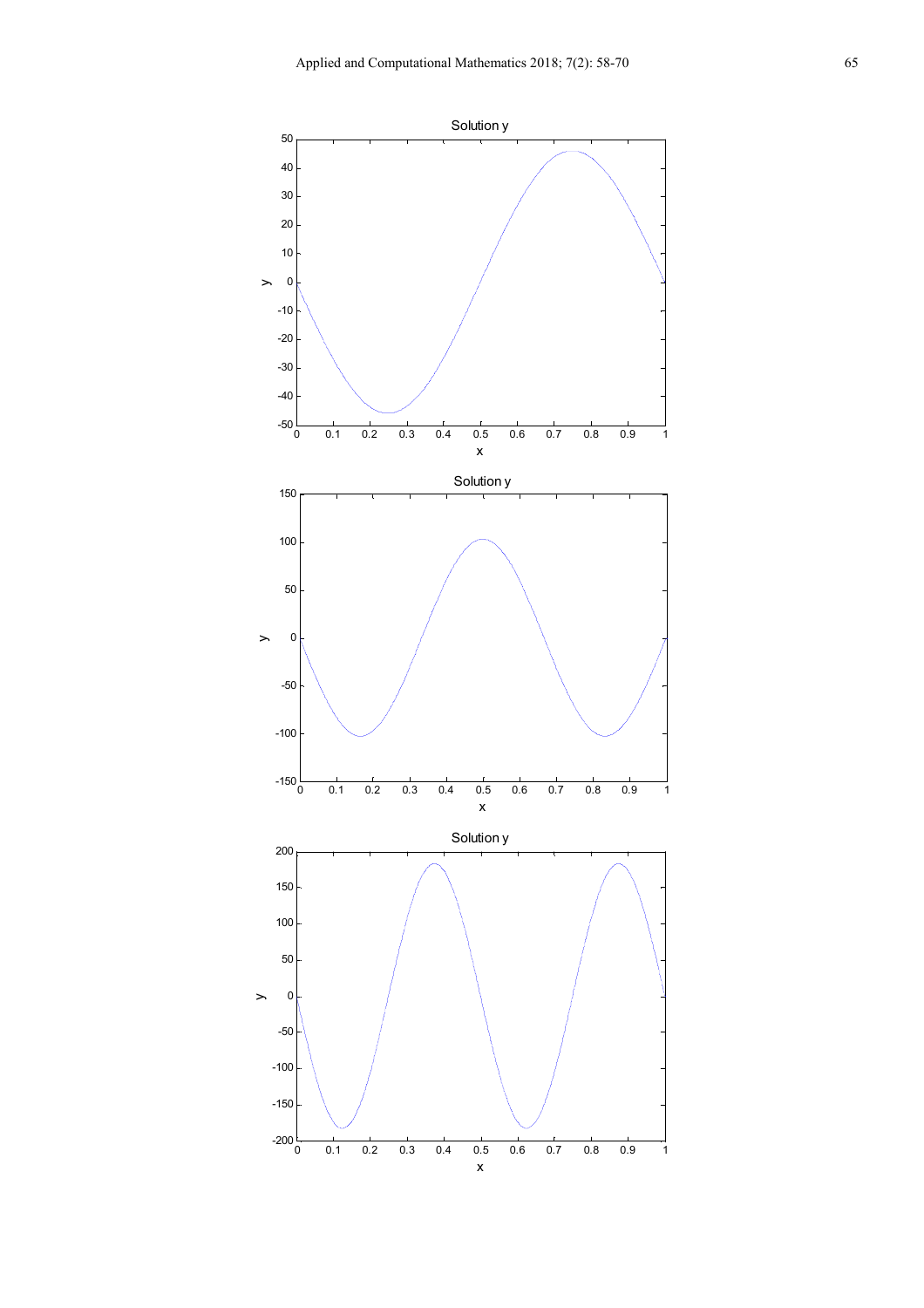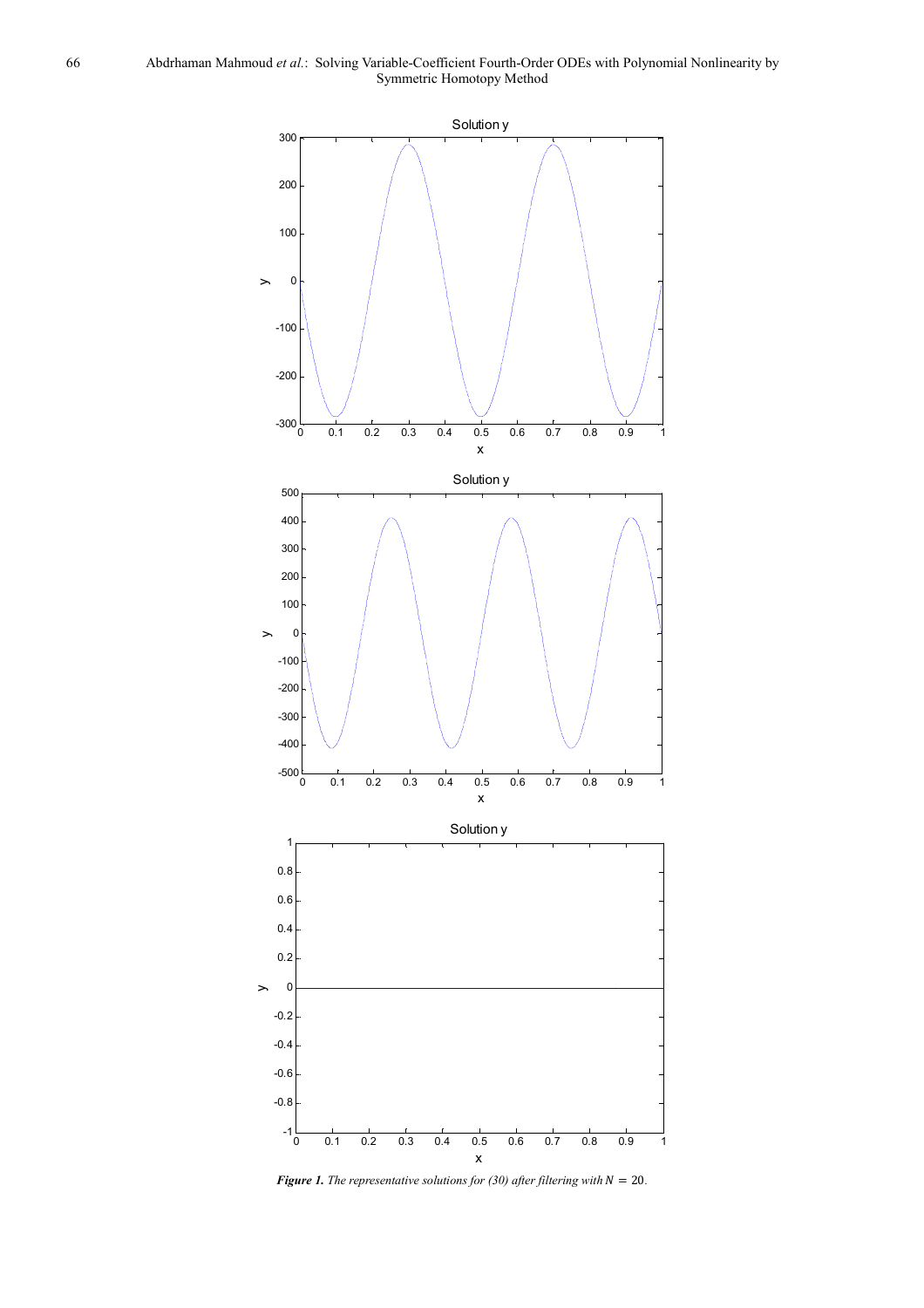

*Figure 1. The representative solutions for (30) after filtering with*  $N = 20$ *.*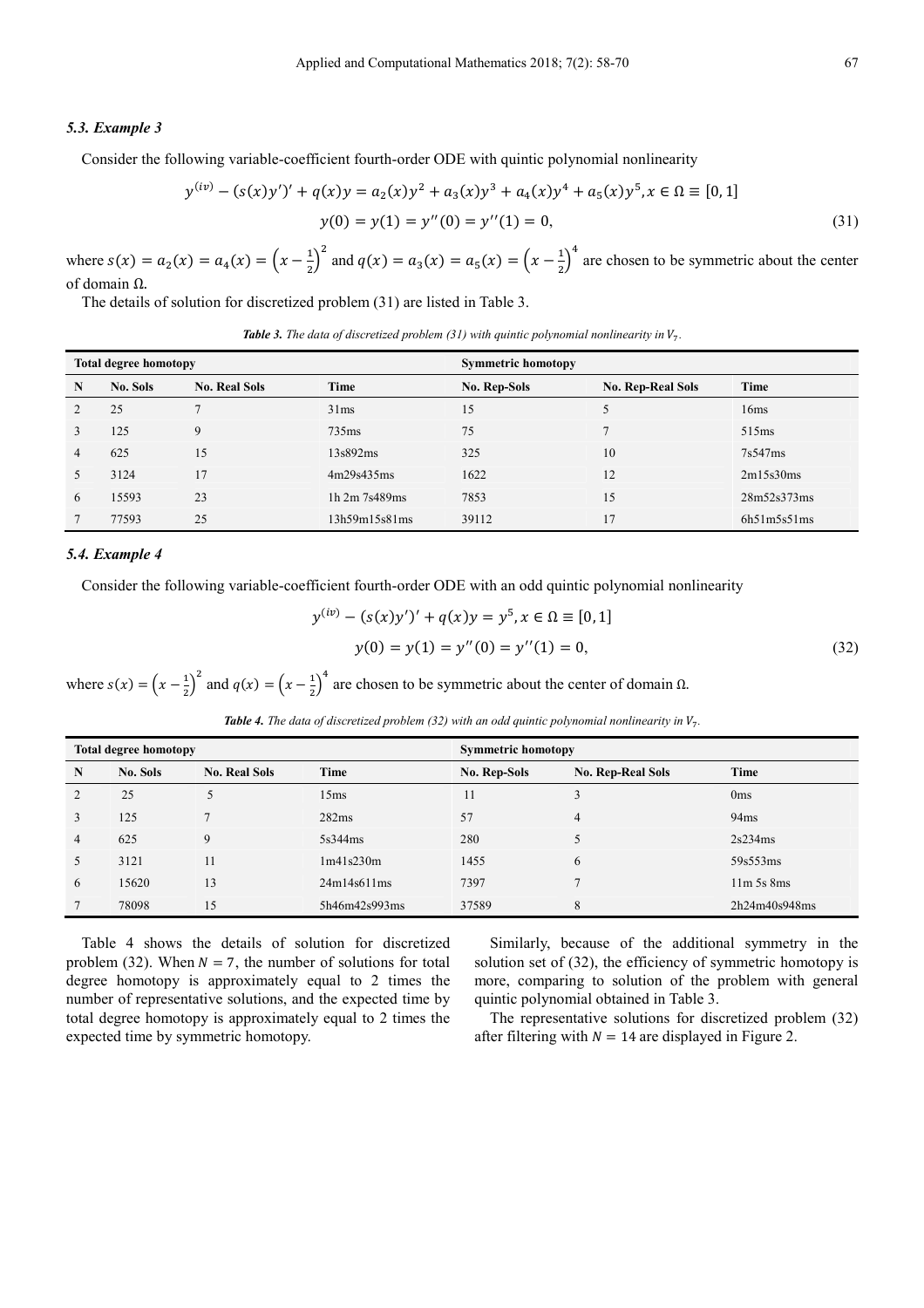#### *5.3. Example 3*

Consider the following variable-coefficient fourth-order ODE with quintic polynomial nonlinearity

$$
y^{(iv)} - (s(x)y')' + q(x)y = a_2(x)y^2 + a_3(x)y^3 + a_4(x)y^4 + a_5(x)y^5, x \in \Omega \equiv [0, 1]
$$
  

$$
y(0) = y(1) = y''(0) = y''(1) = 0,
$$
 (31)

where  $s(x) = a_2(x) = a_4(x) = \left(x - \frac{1}{2}\right)^2$  and  $q(x) = a_3(x) = a_5(x) = \left(x - \frac{1}{2}\right)^4$  are chosen to be symmetric about the center of domain Ω.

The details of solution for discretized problem (31) are listed in Table 3.

**Table 3.** The data of discretized problem (31) with quintic polynomial nonlinearity in V<sub>7</sub>.

| <b>Total degree homotopy</b> |                 |                      | <b>Symmetric homotopy</b> |              |                          |                   |
|------------------------------|-----------------|----------------------|---------------------------|--------------|--------------------------|-------------------|
| N                            | <b>No. Sols</b> | <b>No. Real Sols</b> | Time                      | No. Rep-Sols | <b>No. Rep-Real Sols</b> | Time              |
|                              | 25              |                      | 31ms                      | 15           |                          | 16ms              |
|                              | 125             | 9                    | 735ms                     | 75           |                          | 515 <sub>ms</sub> |
| 4                            | 625             | 15                   | 13s892ms                  | 325          | 10                       | 7s547ms           |
|                              | 3124            | 17                   | 4m29s435ms                | 1622         | 12                       | 2m15s30ms         |
| 6                            | 15593           | 23                   | 1h 2m 7s489ms             | 7853         | 15                       | 28m52s373ms       |
|                              | 77593           | 25                   | 13h59m15s81ms             | 39112        | 17                       | 6h51m5s51ms       |

#### *5.4. Example 4*

Consider the following variable-coefficient fourth-order ODE with an odd quintic polynomial nonlinearity

$$
y^{(iv)} - (s(x)y')' + q(x)y = y^5, x \in \Omega \equiv [0, 1]
$$
  

$$
y(0) = y(1) = y''(0) = y''(1) = 0,
$$
 (32)

where  $s(x) = \left(x - \frac{1}{2}\right)^2$  and  $q(x) = \left(x - \frac{1}{2}\right)^4$  are chosen to be symmetric about the center of domain  $\Omega$ .

**Table 4.** The data of discretized problem (32) with an odd quintic polynomial nonlinearity in V<sub>7</sub>.

| <b>Total degree homotopy</b> |          |                      | <b>Symmetric homotopy</b> |              |                          |                 |
|------------------------------|----------|----------------------|---------------------------|--------------|--------------------------|-----------------|
| N                            | No. Sols | <b>No. Real Sols</b> | Time                      | No. Rep-Sols | <b>No. Rep-Real Sols</b> | Time            |
| 2                            | 25       |                      | 15ms                      | 11           | 3                        | 0 <sub>ms</sub> |
| 3                            | 125      |                      | 282ms                     | 57           | $\overline{4}$           | 94ms            |
| 4                            | 625      | $\mathbf Q$          | 5s344ms                   | 280          |                          | 2s234ms         |
| 5                            | 3121     | 11                   | 1m41s230m                 | 1455         | 6                        | 59s553ms        |
| 6                            | 15620    | 13                   | 24m14s611ms               | 7397         | $\mathcal{I}$            | $11m$ 5s $8ms$  |
|                              | 78098    | 15                   | 5h46m42s993ms             | 37589        | 8                        | 2h24m40s948ms   |

Table 4 shows the details of solution for discretized problem (32). When  $N = 7$ , the number of solutions for total degree homotopy is approximately equal to 2 times the number of representative solutions, and the expected time by total degree homotopy is approximately equal to 2 times the expected time by symmetric homotopy.

Similarly, because of the additional symmetry in the solution set of (32), the efficiency of symmetric homotopy is more, comparing to solution of the problem with general quintic polynomial obtained in Table 3.

The representative solutions for discretized problem (32) after filtering with  $N = 14$  are displayed in Figure 2.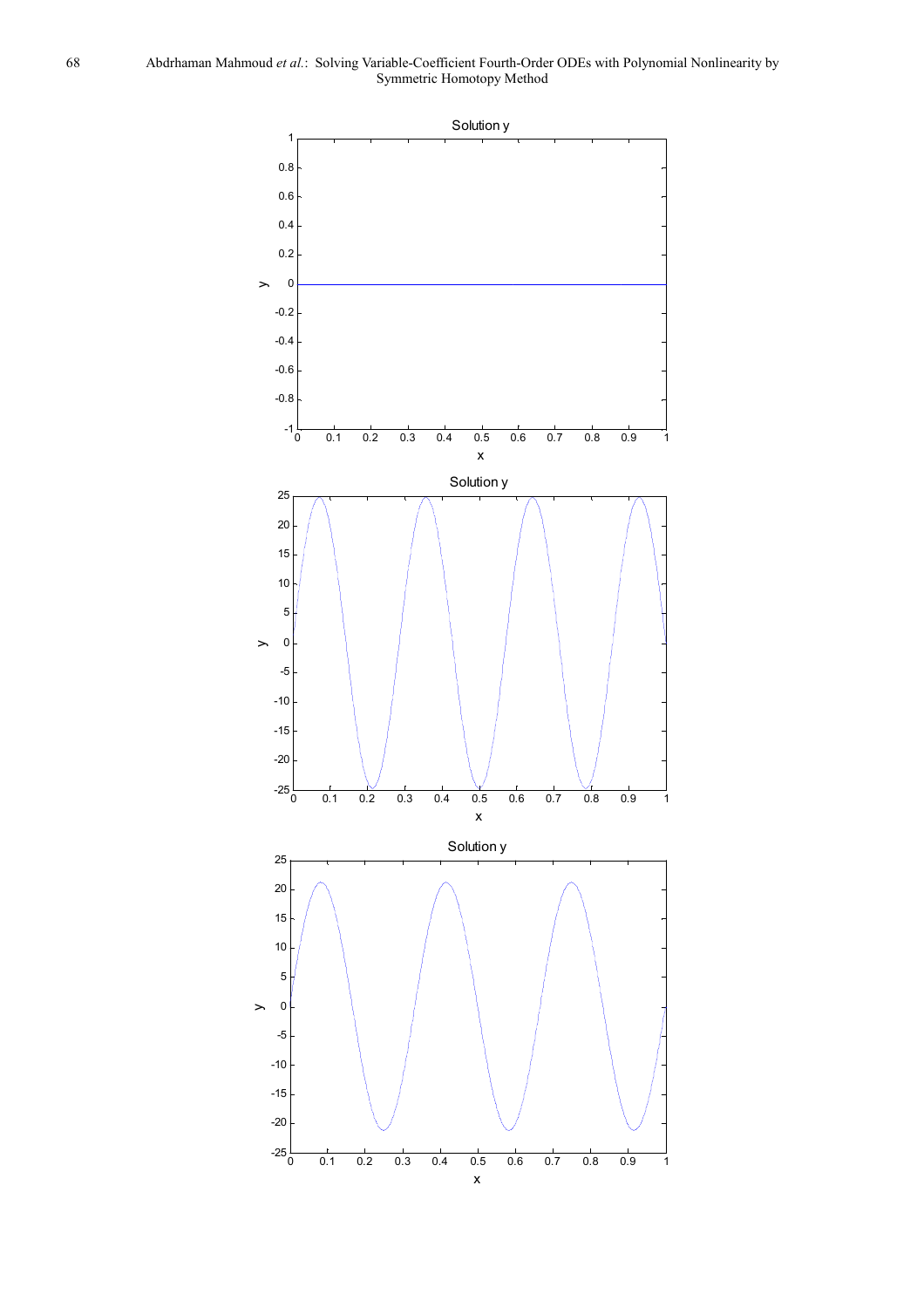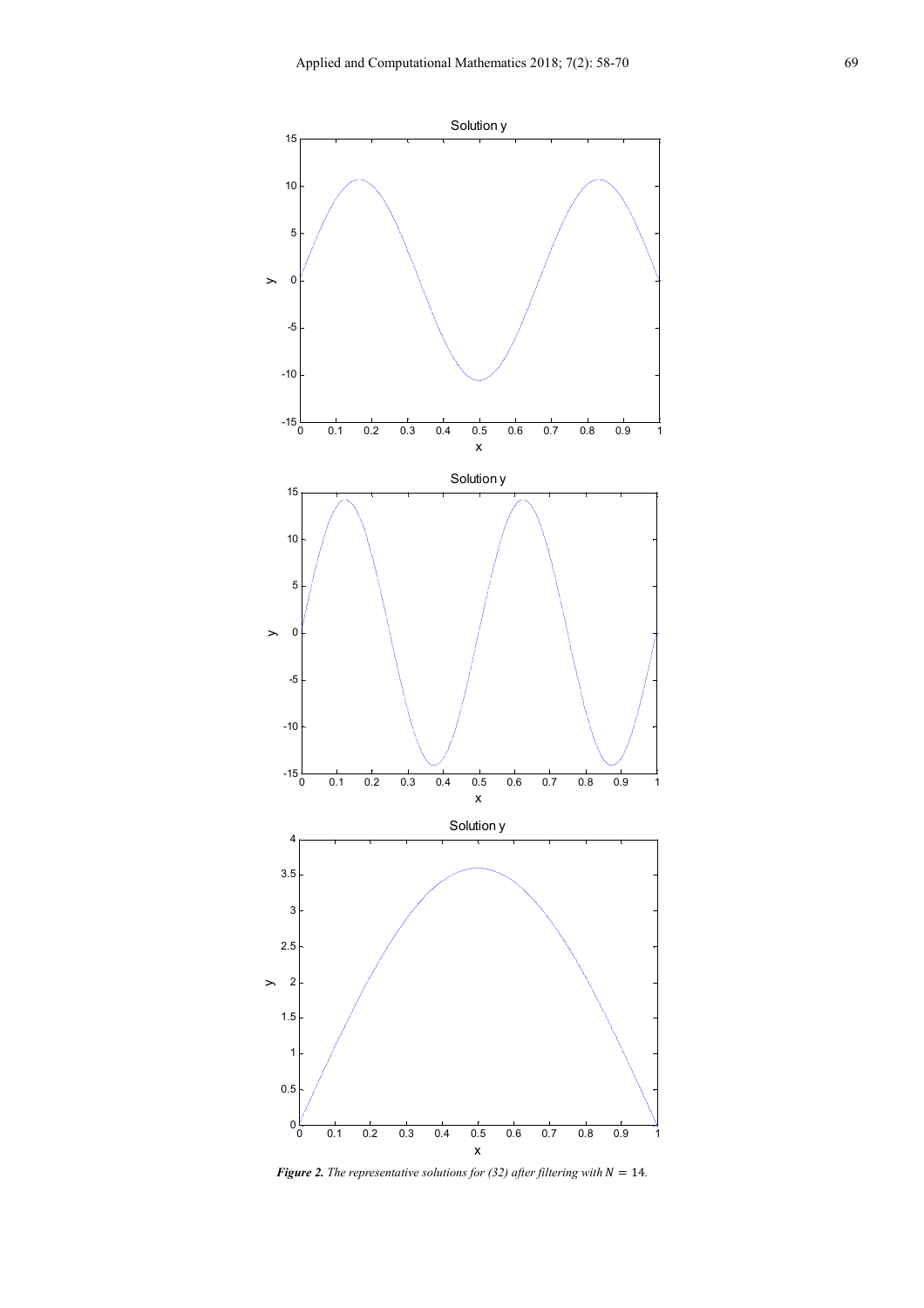

*Figure 2. The representative solutions for (32) after filtering with*  $N = 14$ *.*